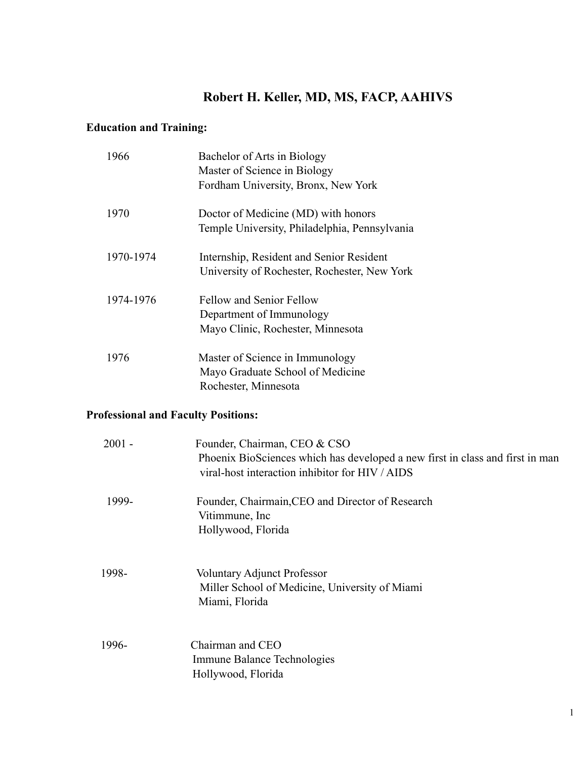# **Robert H. Keller, MD, MS, FACP, AAHIVS**

# **Education and Training:**

| 1966      | Bachelor of Arts in Biology                   |
|-----------|-----------------------------------------------|
|           | Master of Science in Biology                  |
|           | Fordham University, Bronx, New York           |
| 1970      | Doctor of Medicine (MD) with honors           |
|           | Temple University, Philadelphia, Pennsylvania |
| 1970-1974 | Internship, Resident and Senior Resident      |
|           | University of Rochester, Rochester, New York  |
| 1974-1976 | <b>Fellow and Senior Fellow</b>               |
|           | Department of Immunology                      |
|           | Mayo Clinic, Rochester, Minnesota             |
| 1976      | Master of Science in Immunology               |
|           | Mayo Graduate School of Medicine              |
|           | Rochester, Minnesota                          |
|           |                                               |

# **Professional and Faculty Positions:**

| $2001 -$ | Founder, Chairman, CEO & CSO<br>Phoenix BioSciences which has developed a new first in class and first in man<br>viral-host interaction inhibitor for HIV / AIDS |
|----------|------------------------------------------------------------------------------------------------------------------------------------------------------------------|
| 1999-    | Founder, Chairmain, CEO and Director of Research<br>Vitimmune, Inc<br>Hollywood, Florida                                                                         |
| 1998-    | <b>Voluntary Adjunct Professor</b><br>Miller School of Medicine, University of Miami<br>Miami, Florida                                                           |
| 1996-    | Chairman and CEO<br>Immune Balance Technologies<br>Hollywood, Florida                                                                                            |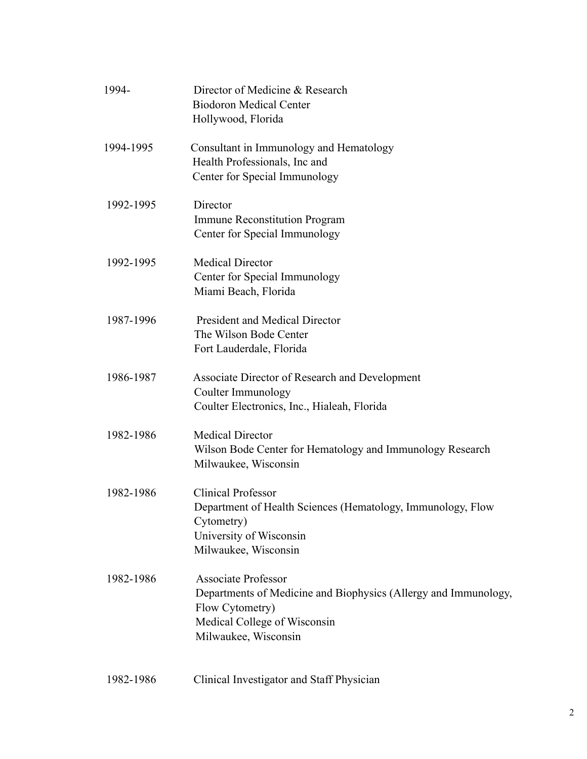| 1994-     | Director of Medicine & Research<br><b>Biodoron Medical Center</b><br>Hollywood, Florida                                                                                  |
|-----------|--------------------------------------------------------------------------------------------------------------------------------------------------------------------------|
| 1994-1995 | Consultant in Immunology and Hematology<br>Health Professionals, Inc and<br>Center for Special Immunology                                                                |
| 1992-1995 | Director<br><b>Immune Reconstitution Program</b><br>Center for Special Immunology                                                                                        |
| 1992-1995 | <b>Medical Director</b><br>Center for Special Immunology<br>Miami Beach, Florida                                                                                         |
| 1987-1996 | <b>President and Medical Director</b><br>The Wilson Bode Center<br>Fort Lauderdale, Florida                                                                              |
| 1986-1987 | Associate Director of Research and Development<br>Coulter Immunology<br>Coulter Electronics, Inc., Hialeah, Florida                                                      |
| 1982-1986 | <b>Medical Director</b><br>Wilson Bode Center for Hematology and Immunology Research<br>Milwaukee, Wisconsin                                                             |
| 1982-1986 | <b>Clinical Professor</b><br>Department of Health Sciences (Hematology, Immunology, Flow<br>Cytometry)<br>University of Wisconsin<br>Milwaukee, Wisconsin                |
| 1982-1986 | <b>Associate Professor</b><br>Departments of Medicine and Biophysics (Allergy and Immunology,<br>Flow Cytometry)<br>Medical College of Wisconsin<br>Milwaukee, Wisconsin |
| 1982-1986 | Clinical Investigator and Staff Physician                                                                                                                                |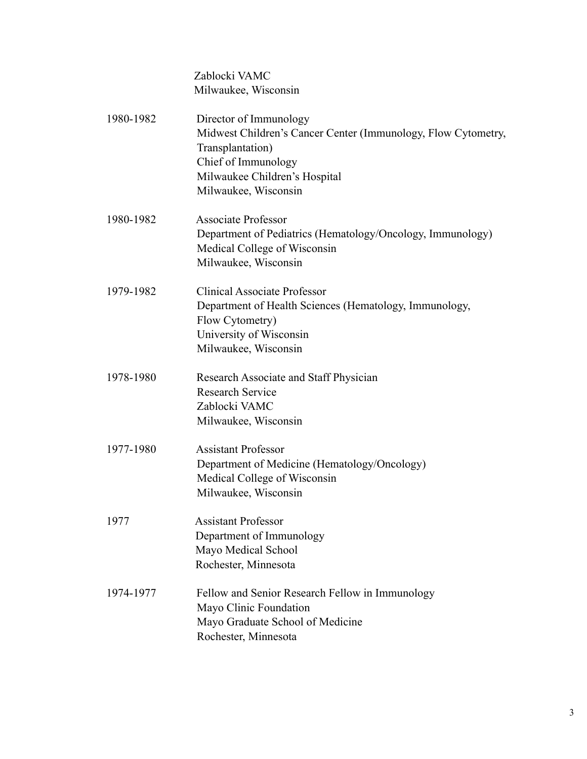Zablocki VAMC Milwaukee, Wisconsin

| 1980-1982 | Director of Immunology<br>Midwest Children's Cancer Center (Immunology, Flow Cytometry,<br>Transplantation)<br>Chief of Immunology<br>Milwaukee Children's Hospital<br>Milwaukee, Wisconsin |
|-----------|---------------------------------------------------------------------------------------------------------------------------------------------------------------------------------------------|
| 1980-1982 | <b>Associate Professor</b><br>Department of Pediatrics (Hematology/Oncology, Immunology)<br>Medical College of Wisconsin<br>Milwaukee, Wisconsin                                            |
| 1979-1982 | <b>Clinical Associate Professor</b><br>Department of Health Sciences (Hematology, Immunology,<br>Flow Cytometry)<br>University of Wisconsin<br>Milwaukee, Wisconsin                         |
| 1978-1980 | Research Associate and Staff Physician<br><b>Research Service</b><br>Zablocki VAMC<br>Milwaukee, Wisconsin                                                                                  |
| 1977-1980 | <b>Assistant Professor</b><br>Department of Medicine (Hematology/Oncology)<br>Medical College of Wisconsin<br>Milwaukee, Wisconsin                                                          |
| 1977      | <b>Assistant Professor</b><br>Department of Immunology<br>Mayo Medical School<br>Rochester, Minnesota                                                                                       |
| 1974-1977 | Fellow and Senior Research Fellow in Immunology<br>Mayo Clinic Foundation<br>Mayo Graduate School of Medicine<br>Rochester, Minnesota                                                       |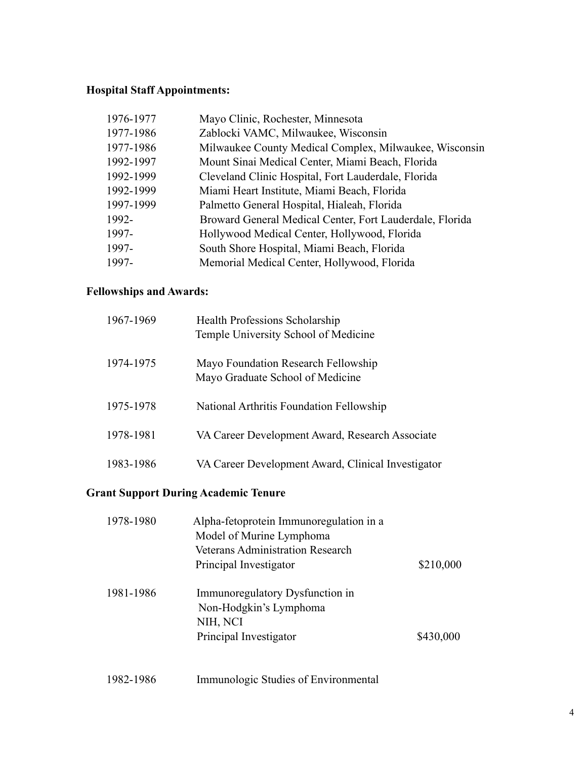# **Hospital Staff Appointments:**

| 1976-1977 | Mayo Clinic, Rochester, Minnesota                        |
|-----------|----------------------------------------------------------|
| 1977-1986 | Zablocki VAMC, Milwaukee, Wisconsin                      |
| 1977-1986 | Milwaukee County Medical Complex, Milwaukee, Wisconsin   |
| 1992-1997 | Mount Sinai Medical Center, Miami Beach, Florida         |
| 1992-1999 | Cleveland Clinic Hospital, Fort Lauderdale, Florida      |
| 1992-1999 | Miami Heart Institute, Miami Beach, Florida              |
| 1997-1999 | Palmetto General Hospital, Hialeah, Florida              |
| 1992-     | Broward General Medical Center, Fort Lauderdale, Florida |
| 1997-     | Hollywood Medical Center, Hollywood, Florida             |
| 1997-     | South Shore Hospital, Miami Beach, Florida               |
| 1997-     | Memorial Medical Center, Hollywood, Florida              |
|           |                                                          |

# **Fellowships and Awards:**

| 1967-1969 | Health Professions Scholarship<br>Temple University School of Medicine  |
|-----------|-------------------------------------------------------------------------|
| 1974-1975 | Mayo Foundation Research Fellowship<br>Mayo Graduate School of Medicine |
| 1975-1978 | National Arthritis Foundation Fellowship                                |
| 1978-1981 | VA Career Development Award, Research Associate                         |
| 1983-1986 | VA Career Development Award, Clinical Investigator                      |

# **Grant Support During Academic Tenure**

| 1978-1980 | Alpha-fetoprotein Immunoregulation in a<br>Model of Murine Lymphoma |           |
|-----------|---------------------------------------------------------------------|-----------|
|           | <b>Veterans Administration Research</b>                             |           |
|           | Principal Investigator                                              | \$210,000 |
| 1981-1986 | Immunoregulatory Dysfunction in                                     |           |
|           | Non-Hodgkin's Lymphoma                                              |           |
|           | NIH, NCI                                                            |           |
|           | Principal Investigator                                              | \$430,000 |
|           |                                                                     |           |
|           |                                                                     |           |

1982-1986 Immunologic Studies of Environmental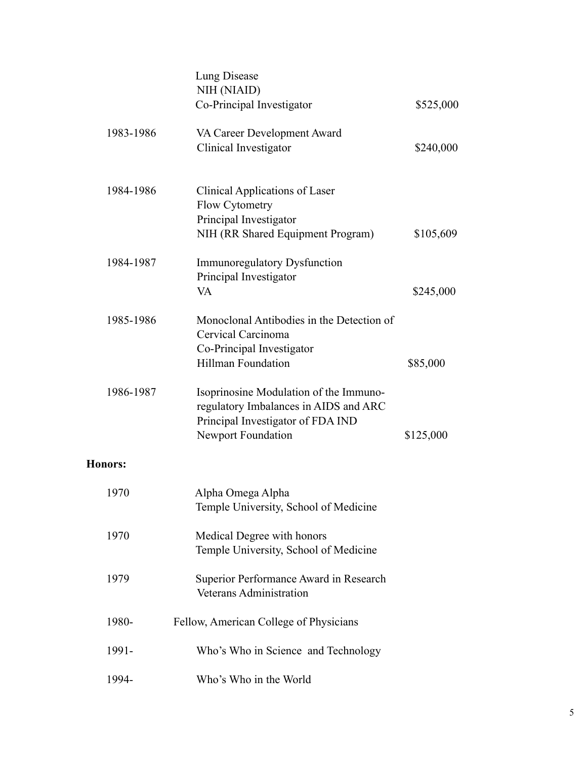|                | Lung Disease<br>NIH (NIAID)<br>Co-Principal Investigator                                                                                          | \$525,000 |
|----------------|---------------------------------------------------------------------------------------------------------------------------------------------------|-----------|
| 1983-1986      | VA Career Development Award<br>Clinical Investigator                                                                                              | \$240,000 |
| 1984-1986      | Clinical Applications of Laser<br><b>Flow Cytometry</b><br>Principal Investigator<br>NIH (RR Shared Equipment Program)                            | \$105,609 |
| 1984-1987      | <b>Immunoregulatory Dysfunction</b><br>Principal Investigator<br>VA                                                                               | \$245,000 |
| 1985-1986      | Monoclonal Antibodies in the Detection of<br>Cervical Carcinoma<br>Co-Principal Investigator<br><b>Hillman Foundation</b>                         | \$85,000  |
| 1986-1987      | Isoprinosine Modulation of the Immuno-<br>regulatory Imbalances in AIDS and ARC<br>Principal Investigator of FDA IND<br><b>Newport Foundation</b> | \$125,000 |
| <b>Honors:</b> |                                                                                                                                                   |           |
| 1970           | Alpha Omega Alpha<br>Temple University, School of Medicine                                                                                        |           |
| 1970           | Medical Degree with honors<br>Temple University, School of Medicine                                                                               |           |
| 1979           | Superior Performance Award in Research<br><b>Veterans Administration</b>                                                                          |           |
| 1980-          | Fellow, American College of Physicians                                                                                                            |           |
| 1991-          | Who's Who in Science and Technology                                                                                                               |           |
| 1994-          | Who's Who in the World                                                                                                                            |           |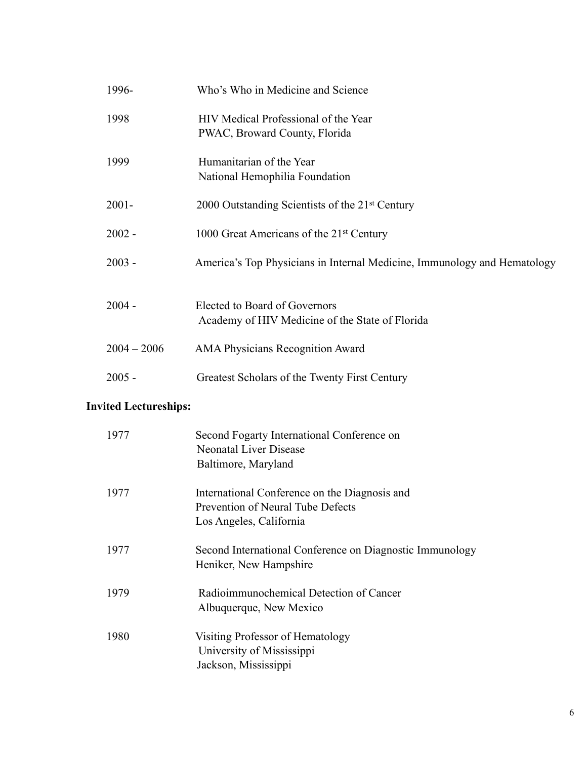| 1996-         | Who's Who in Medicine and Science                                                |
|---------------|----------------------------------------------------------------------------------|
| 1998          | HIV Medical Professional of the Year<br>PWAC, Broward County, Florida            |
| 1999          | Humanitarian of the Year<br>National Hemophilia Foundation                       |
| $2001 -$      | 2000 Outstanding Scientists of the 21 <sup>st</sup> Century                      |
| $2002 -$      | 1000 Great Americans of the 21 <sup>st</sup> Century                             |
| $2003 -$      | America's Top Physicians in Internal Medicine, Immunology and Hematology         |
| $2004 -$      | Elected to Board of Governors<br>Academy of HIV Medicine of the State of Florida |
| $2004 - 2006$ | <b>AMA Physicians Recognition Award</b>                                          |
| $2005 -$      | Greatest Scholars of the Twenty First Century                                    |

# **Invited Lectureships:**

| 1977 | Second Fogarty International Conference on<br><b>Neonatal Liver Disease</b><br>Baltimore, Maryland            |
|------|---------------------------------------------------------------------------------------------------------------|
| 1977 | International Conference on the Diagnosis and<br>Prevention of Neural Tube Defects<br>Los Angeles, California |
| 1977 | Second International Conference on Diagnostic Immunology<br>Heniker, New Hampshire                            |
| 1979 | Radioimmunochemical Detection of Cancer<br>Albuquerque, New Mexico                                            |
| 1980 | Visiting Professor of Hematology<br>University of Mississippi<br>Jackson, Mississippi                         |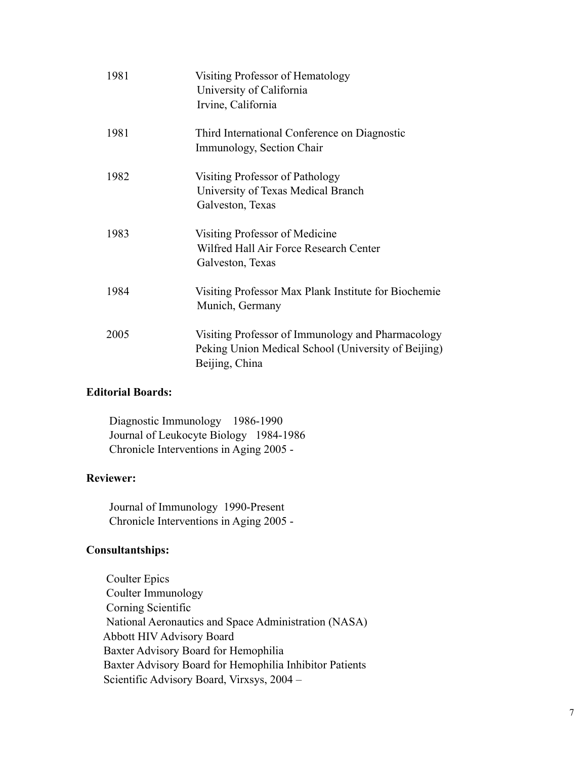| 1981 | Visiting Professor of Hematology<br>University of California<br>Irvine, California                                         |
|------|----------------------------------------------------------------------------------------------------------------------------|
| 1981 | Third International Conference on Diagnostic<br>Immunology, Section Chair                                                  |
| 1982 | Visiting Professor of Pathology<br>University of Texas Medical Branch<br>Galveston, Texas                                  |
| 1983 | Visiting Professor of Medicine<br>Wilfred Hall Air Force Research Center<br>Galveston, Texas                               |
| 1984 | Visiting Professor Max Plank Institute for Biochemie<br>Munich, Germany                                                    |
| 2005 | Visiting Professor of Immunology and Pharmacology<br>Peking Union Medical School (University of Beijing)<br>Beijing, China |

## **Editorial Boards:**

 Diagnostic Immunology 1986-1990 Journal of Leukocyte Biology 1984-1986 Chronicle Interventions in Aging 2005 -

#### **Reviewer:**

 Journal of Immunology 1990-Present Chronicle Interventions in Aging 2005 -

# **Consultantships:**

 Coulter Epics Coulter Immunology Corning Scientific National Aeronautics and Space Administration (NASA) Abbott HIV Advisory Board Baxter Advisory Board for Hemophilia Baxter Advisory Board for Hemophilia Inhibitor Patients Scientific Advisory Board, Virxsys, 2004 –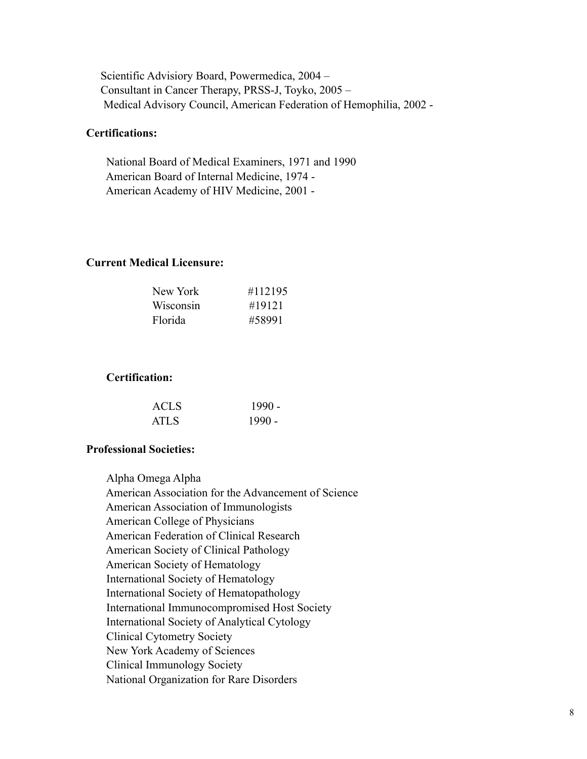Scientific Advisiory Board, Powermedica, 2004 – Consultant in Cancer Therapy, PRSS-J, Toyko, 2005 – Medical Advisory Council, American Federation of Hemophilia, 2002 -

## **Certifications:**

 National Board of Medical Examiners, 1971 and 1990 American Board of Internal Medicine, 1974 - American Academy of HIV Medicine, 2001 -

#### **Current Medical Licensure:**

| #112195 |
|---------|
| #19121  |
| #58991  |
|         |

#### **Certification:**

| <b>ACLS</b> | 1990 -   |
|-------------|----------|
| <b>ATLS</b> | $1990 -$ |

#### **Professional Societies:**

Alpha Omega Alpha American Association for the Advancement of Science American Association of Immunologists American College of Physicians American Federation of Clinical Research American Society of Clinical Pathology American Society of Hematology International Society of Hematology International Society of Hematopathology International Immunocompromised Host Society International Society of Analytical Cytology Clinical Cytometry Society New York Academy of Sciences Clinical Immunology Society National Organization for Rare Disorders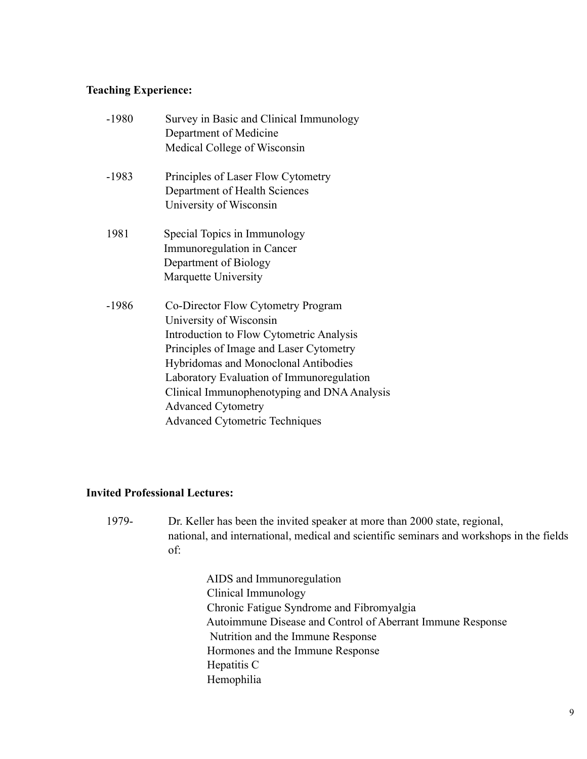## **Teaching Experience:**

| $-1980$ | Survey in Basic and Clinical Immunology<br>Department of Medicine |
|---------|-------------------------------------------------------------------|
|         | Medical College of Wisconsin                                      |
| $-1983$ | Principles of Laser Flow Cytometry                                |
|         | Department of Health Sciences                                     |
|         | University of Wisconsin                                           |
| 1981    | Special Topics in Immunology                                      |
|         | Immunoregulation in Cancer                                        |
|         | Department of Biology                                             |
|         | Marquette University                                              |
| $-1986$ | Co-Director Flow Cytometry Program                                |
|         | University of Wisconsin                                           |
|         | Introduction to Flow Cytometric Analysis                          |
|         | Principles of Image and Laser Cytometry                           |
|         | Hybridomas and Monoclonal Antibodies                              |
|         | Laboratory Evaluation of Immunoregulation                         |
|         | Clinical Immunophenotyping and DNA Analysis                       |
|         | <b>Advanced Cytometry</b>                                         |
|         | <b>Advanced Cytometric Techniques</b>                             |
|         |                                                                   |

## **Invited Professional Lectures:**

1979- Dr. Keller has been the invited speaker at more than 2000 state, regional, national, and international, medical and scientific seminars and workshops in the fields of:

> AIDS and Immunoregulation Clinical Immunology Chronic Fatigue Syndrome and Fibromyalgia Autoimmune Disease and Control of Aberrant Immune Response Nutrition and the Immune Response Hormones and the Immune Response Hepatitis C Hemophilia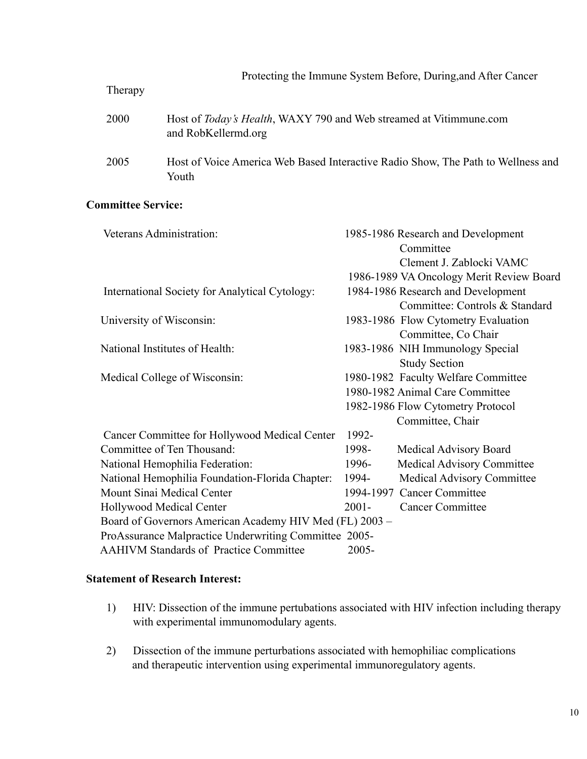| Therapy | Protecting the Immune System Before, During, and After Cancer                             |  |  |
|---------|-------------------------------------------------------------------------------------------|--|--|
| 2000    | Host of Today's Health, WAXY 790 and Web streamed at Vitimmune.com<br>and RobKellermd.org |  |  |
| 2005    | Host of Voice America Web Based Interactive Radio Show, The Path to Wellness and<br>Youth |  |  |

#### **Committee Service:**

| Veterans Administration:                                |          | 1985-1986 Research and Development       |  |  |
|---------------------------------------------------------|----------|------------------------------------------|--|--|
|                                                         |          | Committee                                |  |  |
|                                                         |          | Clement J. Zablocki VAMC                 |  |  |
|                                                         |          | 1986-1989 VA Oncology Merit Review Board |  |  |
| <b>International Society for Analytical Cytology:</b>   |          | 1984-1986 Research and Development       |  |  |
|                                                         |          | Committee: Controls & Standard           |  |  |
| University of Wisconsin:                                |          | 1983-1986 Flow Cytometry Evaluation      |  |  |
|                                                         |          | Committee, Co Chair                      |  |  |
| National Institutes of Health:                          |          | 1983-1986 NIH Immunology Special         |  |  |
|                                                         |          | <b>Study Section</b>                     |  |  |
| Medical College of Wisconsin:                           |          | 1980-1982 Faculty Welfare Committee      |  |  |
|                                                         |          | 1980-1982 Animal Care Committee          |  |  |
|                                                         |          | 1982-1986 Flow Cytometry Protocol        |  |  |
|                                                         |          | Committee, Chair                         |  |  |
| Cancer Committee for Hollywood Medical Center           | 1992-    |                                          |  |  |
| Committee of Ten Thousand:                              | 1998-    | Medical Advisory Board                   |  |  |
| National Hemophilia Federation:                         | 1996-    | Medical Advisory Committee               |  |  |
| National Hemophilia Foundation-Florida Chapter:         | 1994-    | <b>Medical Advisory Committee</b>        |  |  |
| Mount Sinai Medical Center                              |          | 1994-1997 Cancer Committee               |  |  |
| <b>Hollywood Medical Center</b>                         | $2001 -$ | <b>Cancer Committee</b>                  |  |  |
| Board of Governors American Academy HIV Med (FL) 2003 - |          |                                          |  |  |
| ProAssurance Malpractice Underwriting Committee 2005-   |          |                                          |  |  |
| <b>AAHIVM Standards of Practice Committee</b>           | $2005 -$ |                                          |  |  |

## **Statement of Research Interest:**

- 1) HIV: Dissection of the immune pertubations associated with HIV infection including therapy with experimental immunomodulary agents.
- 2) Dissection of the immune perturbations associated with hemophiliac complications and therapeutic intervention using experimental immunoregulatory agents.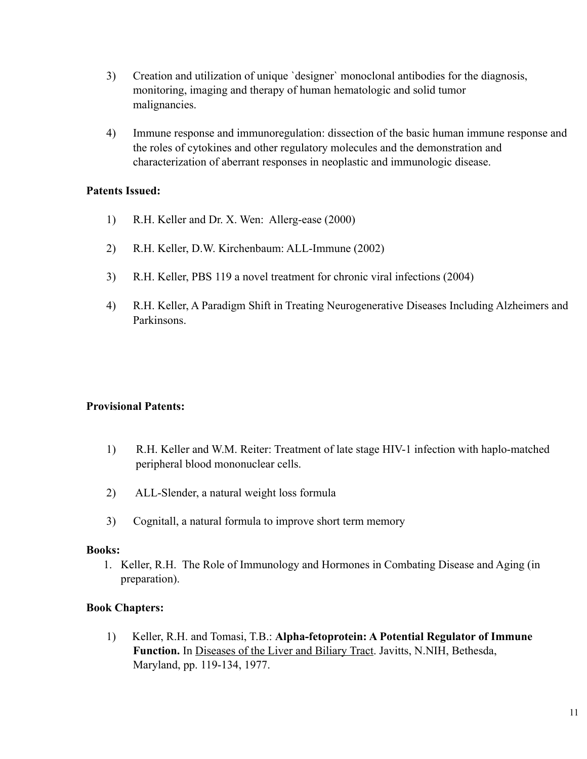- 3) Creation and utilization of unique `designer` monoclonal antibodies for the diagnosis, monitoring, imaging and therapy of human hematologic and solid tumor malignancies.
- 4) Immune response and immunoregulation: dissection of the basic human immune response and the roles of cytokines and other regulatory molecules and the demonstration and characterization of aberrant responses in neoplastic and immunologic disease.

#### **Patents Issued:**

- 1) R.H. Keller and Dr. X. Wen: Allerg-ease (2000)
- 2) R.H. Keller, D.W. Kirchenbaum: ALL-Immune (2002)
- 3) R.H. Keller, PBS 119 a novel treatment for chronic viral infections (2004)
- 4) R.H. Keller, A Paradigm Shift in Treating Neurogenerative Diseases Including Alzheimers and Parkinsons.

## **Provisional Patents:**

- 1) R.H. Keller and W.M. Reiter: Treatment of late stage HIV-1 infection with haplo-matched peripheral blood mononuclear cells.
- 2) ALL-Slender, a natural weight loss formula
- 3) Cognitall, a natural formula to improve short term memory

#### **Books:**

1. Keller, R.H. The Role of Immunology and Hormones in Combating Disease and Aging (in preparation).

## **Book Chapters:**

1) Keller, R.H. and Tomasi, T.B.: **Alpha-fetoprotein: A Potential Regulator of Immune** Function. In Diseases of the Liver and Biliary Tract. Javitts, N.NIH, Bethesda, Maryland, pp. 119-134, 1977.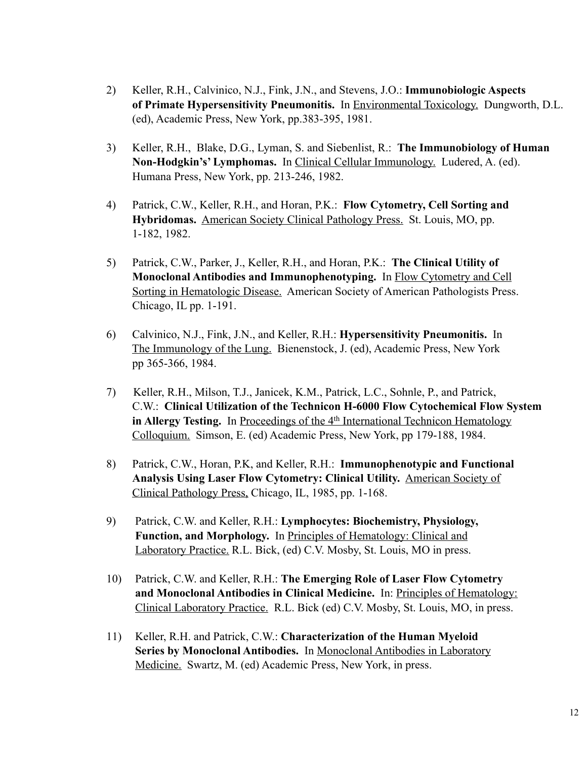- 2) Keller, R.H., Calvinico, N.J., Fink, J.N., and Stevens, J.O.: **Immunobiologic Aspects of Primate Hypersensitivity Pneumonitis.** In Environmental Toxicology. Dungworth, D.L. (ed), Academic Press, New York, pp.383-395, 1981.
- 3) Keller, R.H., Blake, D.G., Lyman, S. and Siebenlist, R.: **The Immunobiology of Human Non-Hodgkin's' Lymphomas.** In Clinical Cellular Immunology. Ludered, A. (ed). Humana Press, New York, pp. 213-246, 1982.
- 4) Patrick, C.W., Keller, R.H., and Horan, P.K.: **Flow Cytometry, Cell Sorting and Hybridomas.** American Society Clinical Pathology Press. St. Louis, MO, pp. 1-182, 1982.
- 5) Patrick, C.W., Parker, J., Keller, R.H., and Horan, P.K.: **The Clinical Utility of Monoclonal Antibodies and Immunophenotyping.** In Flow Cytometry and Cell Sorting in Hematologic Disease. American Society of American Pathologists Press. Chicago, IL pp. 1-191.
- 6) Calvinico, N.J., Fink, J.N., and Keller, R.H.: **Hypersensitivity Pneumonitis.** In The Immunology of the Lung. Bienenstock, J. (ed), Academic Press, New York pp 365-366, 1984.
- 7) Keller, R.H., Milson, T.J., Janicek, K.M., Patrick, L.C., Sohnle, P., and Patrick, C.W.: **Clinical Utilization of the Technicon H-6000 Flow Cytochemical Flow System** in Allergy Testing. In Proceedings of the 4<sup>th</sup> International Technicon Hematology Colloquium. Simson, E. (ed) Academic Press, New York, pp 179-188, 1984.
- 8) Patrick, C.W., Horan, P.K, and Keller, R.H.: **Immunophenotypic and Functional Analysis Using Laser Flow Cytometry: Clinical Utility.** American Society of Clinical Pathology Press, Chicago, IL, 1985, pp. 1-168.
- 9) Patrick, C.W. and Keller, R.H.: **Lymphocytes: Biochemistry, Physiology, Function, and Morphology.** In Principles of Hematology: Clinical and Laboratory Practice. R.L. Bick, (ed) C.V. Mosby, St. Louis, MO in press.
- 10) Patrick, C.W. and Keller, R.H.: **The Emerging Role of Laser Flow Cytometry and Monoclonal Antibodies in Clinical Medicine.** In: Principles of Hematology: Clinical Laboratory Practice. R.L. Bick (ed) C.V. Mosby, St. Louis, MO, in press.
- 11) Keller, R.H. and Patrick, C.W.: **Characterization of the Human Myeloid Series by Monoclonal Antibodies.** In Monoclonal Antibodies in Laboratory Medicine. Swartz, M. (ed) Academic Press, New York, in press.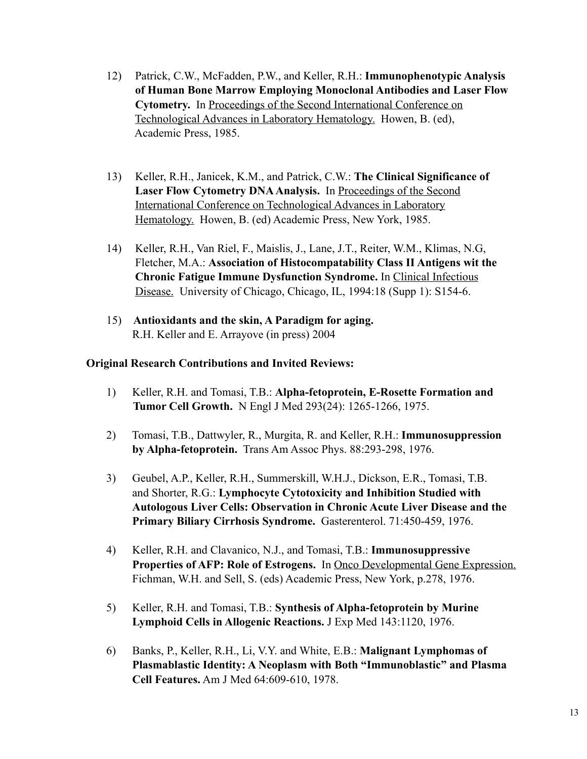- 12) Patrick, C.W., McFadden, P.W., and Keller, R.H.: **Immunophenotypic Analysis of Human Bone Marrow Employing Monoclonal Antibodies and Laser Flow Cytometry.** In Proceedings of the Second International Conference on Technological Advances in Laboratory Hematology. Howen, B. (ed), Academic Press, 1985.
- 13) Keller, R.H., Janicek, K.M., and Patrick, C.W.: **The Clinical Significance of Laser Flow Cytometry DNA Analysis.** In Proceedings of the Second International Conference on Technological Advances in Laboratory Hematology. Howen, B. (ed) Academic Press, New York, 1985.
- 14) Keller, R.H., Van Riel, F., Maislis, J., Lane, J.T., Reiter, W.M., Klimas, N.G, Fletcher, M.A.: **Association of Histocompatability Class II Antigens wit the Chronic Fatigue Immune Dysfunction Syndrome.** In Clinical Infectious Disease. University of Chicago, Chicago, IL, 1994:18 (Supp 1): S154-6.
- 15) **Antioxidants and the skin, A Paradigm for aging.** R.H. Keller and E. Arrayove (in press) 2004

## **Original Research Contributions and Invited Reviews:**

- 1) Keller, R.H. and Tomasi, T.B.: **Alpha-fetoprotein, E-Rosette Formation and Tumor Cell Growth.** N Engl J Med 293(24): 1265-1266, 1975.
- 2) Tomasi, T.B., Dattwyler, R., Murgita, R. and Keller, R.H.: **Immunosuppression by Alpha-fetoprotein.** Trans Am Assoc Phys. 88:293-298, 1976.
- 3) Geubel, A.P., Keller, R.H., Summerskill, W.H.J., Dickson, E.R., Tomasi, T.B. and Shorter, R.G.: **Lymphocyte Cytotoxicity and Inhibition Studied with Autologous Liver Cells: Observation in Chronic Acute Liver Disease and the Primary Biliary Cirrhosis Syndrome.** Gasterenterol. 71:450-459, 1976.
- 4) Keller, R.H. and Clavanico, N.J., and Tomasi, T.B.: **Immunosuppressive Properties of AFP: Role of Estrogens.** In Onco Developmental Gene Expression. Fichman, W.H. and Sell, S. (eds) Academic Press, New York, p.278, 1976.
- 5) Keller, R.H. and Tomasi, T.B.: **Synthesis of Alpha-fetoprotein by Murine Lymphoid Cells in Allogenic Reactions.** J Exp Med 143:1120, 1976.
- 6) Banks, P., Keller, R.H., Li, V.Y. and White, E.B.: **Malignant Lymphomas of Plasmablastic Identity: A Neoplasm with Both "Immunoblastic" and Plasma Cell Features.** Am J Med 64:609-610, 1978.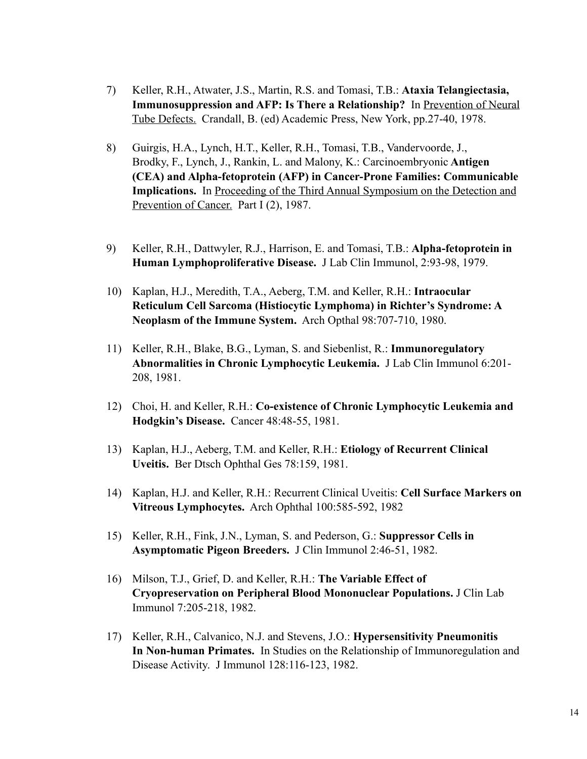- 7) Keller, R.H., Atwater, J.S., Martin, R.S. and Tomasi, T.B.: **Ataxia Telangiectasia, Immunosuppression and AFP: Is There a Relationship?** In Prevention of Neural Tube Defects. Crandall, B. (ed) Academic Press, New York, pp.27-40, 1978.
- 8) Guirgis, H.A., Lynch, H.T., Keller, R.H., Tomasi, T.B., Vandervoorde, J., Brodky, F., Lynch, J., Rankin, L. and Malony, K.: Carcinoembryonic **Antigen (CEA) and Alpha-fetoprotein (AFP) in Cancer-Prone Families: Communicable Implications.** In Proceeding of the Third Annual Symposium on the Detection and Prevention of Cancer. Part I (2), 1987.
- 9) Keller, R.H., Dattwyler, R.J., Harrison, E. and Tomasi, T.B.: **Alpha-fetoprotein in Human Lymphoproliferative Disease.** J Lab Clin Immunol, 2:93-98, 1979.
- 10) Kaplan, H.J., Meredith, T.A., Aeberg, T.M. and Keller, R.H.: **Intraocular Reticulum Cell Sarcoma (Histiocytic Lymphoma) in Richter's Syndrome: A Neoplasm of the Immune System.** Arch Opthal 98:707-710, 1980.
- 11) Keller, R.H., Blake, B.G., Lyman, S. and Siebenlist, R.: **Immunoregulatory Abnormalities in Chronic Lymphocytic Leukemia.** J Lab Clin Immunol 6:201- 208, 1981.
- 12) Choi, H. and Keller, R.H.: **Co-existence of Chronic Lymphocytic Leukemia and Hodgkin's Disease.** Cancer 48:48-55, 1981.
- 13) Kaplan, H.J., Aeberg, T.M. and Keller, R.H.: **Etiology of Recurrent Clinical Uveitis.** Ber Dtsch Ophthal Ges 78:159, 1981.
- 14) Kaplan, H.J. and Keller, R.H.: Recurrent Clinical Uveitis: **Cell Surface Markers on Vitreous Lymphocytes.** Arch Ophthal 100:585-592, 1982
- 15) Keller, R.H., Fink, J.N., Lyman, S. and Pederson, G.: **Suppressor Cells in Asymptomatic Pigeon Breeders.** J Clin Immunol 2:46-51, 1982.
- 16) Milson, T.J., Grief, D. and Keller, R.H.: **The Variable Effect of Cryopreservation on Peripheral Blood Mononuclear Populations.** J Clin Lab Immunol 7:205-218, 1982.
- 17) Keller, R.H., Calvanico, N.J. and Stevens, J.O.: **Hypersensitivity Pneumonitis In Non-human Primates.** In Studies on the Relationship of Immunoregulation and Disease Activity. J Immunol 128:116-123, 1982.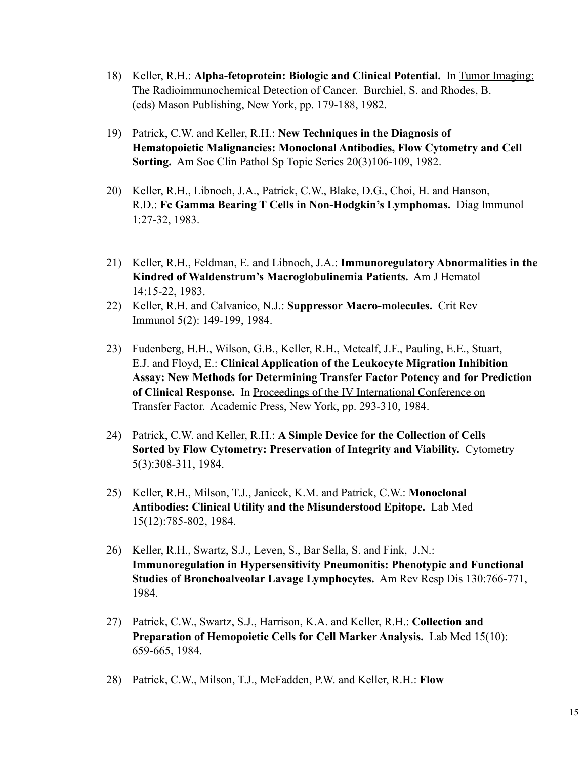- 18) Keller, R.H.: **Alpha-fetoprotein: Biologic and Clinical Potential.** In Tumor Imaging: The Radioimmunochemical Detection of Cancer. Burchiel, S. and Rhodes, B. (eds) Mason Publishing, New York, pp. 179-188, 1982.
- 19) Patrick, C.W. and Keller, R.H.: **New Techniques in the Diagnosis of Hematopoietic Malignancies: Monoclonal Antibodies, Flow Cytometry and Cell Sorting.** Am Soc Clin Pathol Sp Topic Series 20(3)106-109, 1982.
- 20) Keller, R.H., Libnoch, J.A., Patrick, C.W., Blake, D.G., Choi, H. and Hanson, R.D.: **Fc Gamma Bearing T Cells in Non-Hodgkin's Lymphomas.** Diag Immunol 1:27-32, 1983.
- 21) Keller, R.H., Feldman, E. and Libnoch, J.A.: **Immunoregulatory Abnormalities in the Kindred of Waldenstrum's Macroglobulinemia Patients.** Am J Hematol 14:15-22, 1983.
- 22) Keller, R.H. and Calvanico, N.J.: **Suppressor Macro-molecules.** Crit Rev Immunol 5(2): 149-199, 1984.
- 23) Fudenberg, H.H., Wilson, G.B., Keller, R.H., Metcalf, J.F., Pauling, E.E., Stuart, E.J. and Floyd, E.: **Clinical Application of the Leukocyte Migration Inhibition Assay: New Methods for Determining Transfer Factor Potency and for Prediction of Clinical Response.** In Proceedings of the IV International Conference on Transfer Factor. Academic Press, New York, pp. 293-310, 1984.
- 24) Patrick, C.W. and Keller, R.H.: **A Simple Device for the Collection of Cells Sorted by Flow Cytometry: Preservation of Integrity and Viability.** Cytometry 5(3):308-311, 1984.
- 25) Keller, R.H., Milson, T.J., Janicek, K.M. and Patrick, C.W.: **Monoclonal Antibodies: Clinical Utility and the Misunderstood Epitope.** Lab Med 15(12):785-802, 1984.
- 26) Keller, R.H., Swartz, S.J., Leven, S., Bar Sella, S. and Fink, J.N.: **Immunoregulation in Hypersensitivity Pneumonitis: Phenotypic and Functional Studies of Bronchoalveolar Lavage Lymphocytes.** Am Rev Resp Dis 130:766-771, 1984.
- 27) Patrick, C.W., Swartz, S.J., Harrison, K.A. and Keller, R.H.: **Collection and Preparation of Hemopoietic Cells for Cell Marker Analysis.** Lab Med 15(10): 659-665, 1984.
- 28) Patrick, C.W., Milson, T.J., McFadden, P.W. and Keller, R.H.: **Flow**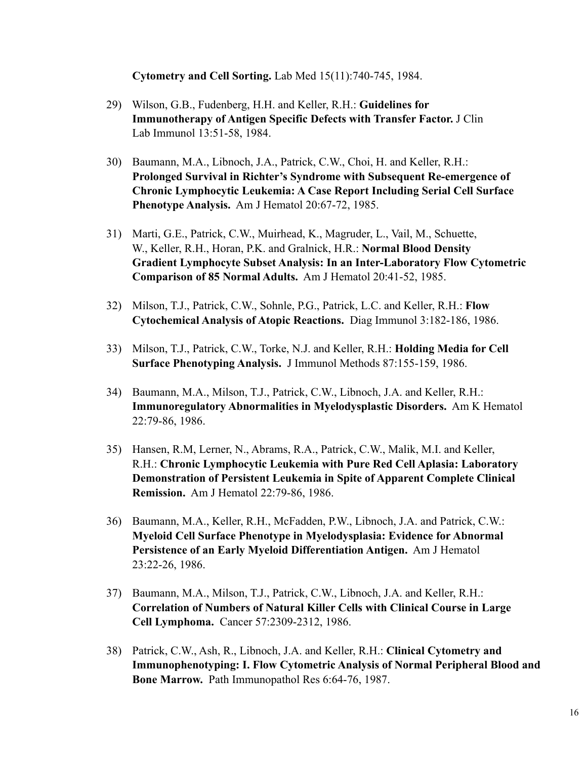**Cytometry and Cell Sorting.** Lab Med 15(11):740-745, 1984.

- 29) Wilson, G.B., Fudenberg, H.H. and Keller, R.H.: **Guidelines for Immunotherapy of Antigen Specific Defects with Transfer Factor.** J Clin Lab Immunol 13:51-58, 1984.
- 30) Baumann, M.A., Libnoch, J.A., Patrick, C.W., Choi, H. and Keller, R.H.: **Prolonged Survival in Richter's Syndrome with Subsequent Re-emergence of Chronic Lymphocytic Leukemia: A Case Report Including Serial Cell Surface Phenotype Analysis.** Am J Hematol 20:67-72, 1985.
- 31) Marti, G.E., Patrick, C.W., Muirhead, K., Magruder, L., Vail, M., Schuette, W., Keller, R.H., Horan, P.K. and Gralnick, H.R.: **Normal Blood Density Gradient Lymphocyte Subset Analysis: In an Inter-Laboratory Flow Cytometric Comparison of 85 Normal Adults.** Am J Hematol 20:41-52, 1985.
- 32) Milson, T.J., Patrick, C.W., Sohnle, P.G., Patrick, L.C. and Keller, R.H.: **Flow Cytochemical Analysis of Atopic Reactions.** Diag Immunol 3:182-186, 1986.
- 33) Milson, T.J., Patrick, C.W., Torke, N.J. and Keller, R.H.: **Holding Media for Cell Surface Phenotyping Analysis.** J Immunol Methods 87:155-159, 1986.
- 34) Baumann, M.A., Milson, T.J., Patrick, C.W., Libnoch, J.A. and Keller, R.H.: **Immunoregulatory Abnormalities in Myelodysplastic Disorders.** Am K Hematol 22:79-86, 1986.
- 35) Hansen, R.M, Lerner, N., Abrams, R.A., Patrick, C.W., Malik, M.I. and Keller, R.H.: **Chronic Lymphocytic Leukemia with Pure Red Cell Aplasia: Laboratory Demonstration of Persistent Leukemia in Spite of Apparent Complete Clinical Remission.** Am J Hematol 22:79-86, 1986.
- 36) Baumann, M.A., Keller, R.H., McFadden, P.W., Libnoch, J.A. and Patrick, C.W.: **Myeloid Cell Surface Phenotype in Myelodysplasia: Evidence for Abnormal Persistence of an Early Myeloid Differentiation Antigen.** Am J Hematol 23:22-26, 1986.
- 37) Baumann, M.A., Milson, T.J., Patrick, C.W., Libnoch, J.A. and Keller, R.H.: **Correlation of Numbers of Natural Killer Cells with Clinical Course in Large Cell Lymphoma.** Cancer 57:2309-2312, 1986.
- 38) Patrick, C.W., Ash, R., Libnoch, J.A. and Keller, R.H.: **Clinical Cytometry and Immunophenotyping: I. Flow Cytometric Analysis of Normal Peripheral Blood and Bone Marrow.** Path Immunopathol Res 6:64-76, 1987.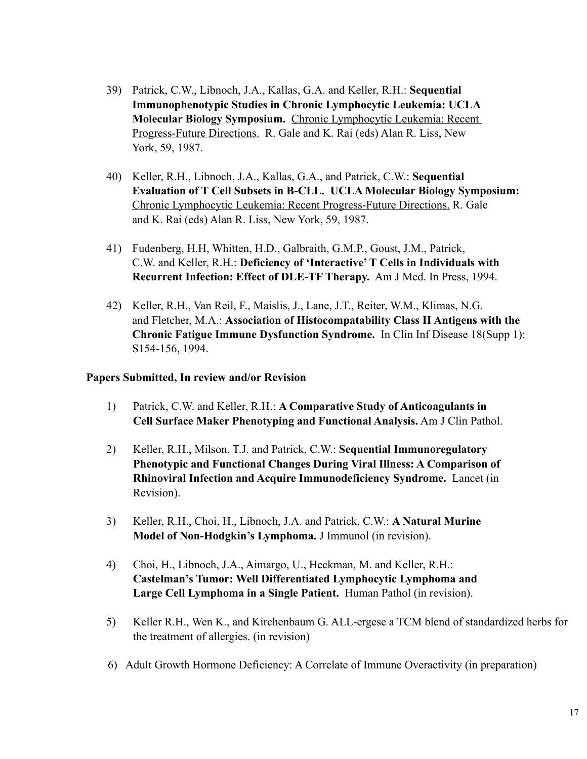- 39) Patrick, C.W., Libnoch, J.A., Kallas, G.A. and Keller, R.H.: **Sequential Immunophenotypic Studies in Chronic Lymphocytic Leukemia: UCLA Molecular Biology Symposium.** Chronic Lymphocytic Leukemia: Recent Progress-Future Directions. R. Gale and K. Rai (eds) Alan R. Liss, New York, 59, 1987.
- 40) Keller, R.H., Libnoch, J.A., Kallas, G.A., and Patrick, C.W.: **Sequential Evaluation of T Cell Subsets in B-CLL. UCLA Molecular Biology Symposium:** Chronic Lymphocytic Leukemia: Recent Progress-Future Directions. R. Gale and K. Rai (eds) Alan R. Liss, New York, 59, 1987.
- 41) Fudenberg, H.H, Whitten, H.D., Galbraith, G.M.P., Goust, J.M., Patrick, C.W. and Keller, R.H.: **Deficiency of 'Interactive' T Cells in Individuals with Recurrent Infection: Effect of DLE-TF Therapy.** Am J Med. In Press, 1994.
- 42) Keller, R.H., Van Reil, F., Maislis, J., Lane, J.T., Reiter, W.M., Klimas, N.G. and Fletcher, M.A.: **Association of Histocompatability Class II Antigens with the Chronic Fatigue Immune Dysfunction Syndrome.** In Clin Inf Disease 18(Supp 1): S154-156, 1994.

#### **Papers Submitted, In review and/or Revision**

- 1) Patrick, C.W. and Keller, R.H.: **A Comparative Study of Anticoagulants in Cell Surface Maker Phenotyping and Functional Analysis.** Am J Clin Pathol.
- 2) Keller, R.H., Milson, T.J. and Patrick, C.W.: **Sequential Immunoregulatory Phenotypic and Functional Changes During Viral Illness: A Comparison of Rhinoviral Infection and Acquire Immunodeficiency Syndrome.** Lancet (in Revision).
- 3) Keller, R.H., Choi, H., Libnoch, J.A. and Patrick, C.W.: **A Natural Murine Model of Non-Hodgkin's Lymphoma.** J Immunol (in revision).
- 4) Choi, H., Libnoch, J.A., Aimargo, U., Heckman, M. and Keller, R.H.: **Castelman's Tumor: Well Differentiated Lymphocytic Lymphoma and Large Cell Lymphoma in a Single Patient.** Human Pathol (in revision).
- 5) Keller R.H., Wen K., and Kirchenbaum G. ALL-ergese a TCM blend of standardized herbs for the treatment of allergies. (in revision)
- 6) Adult Growth Hormone Deficiency: A Correlate of Immune Overactivity (in preparation)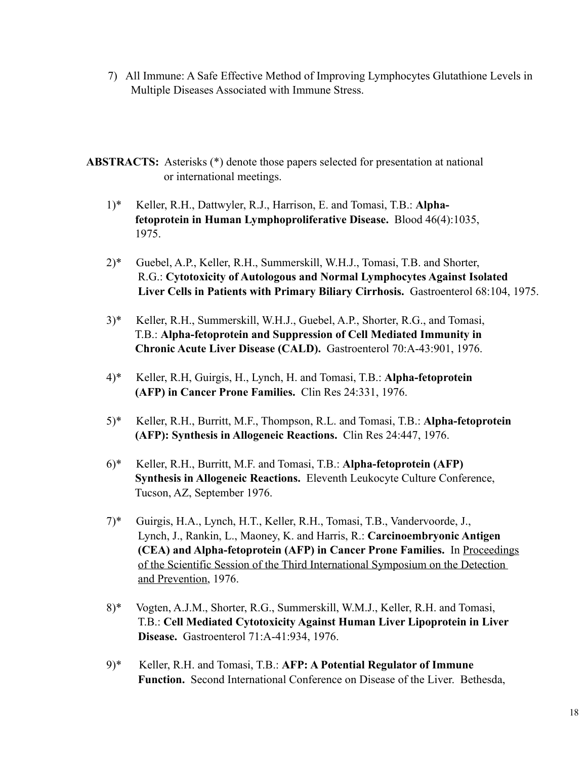- 7) All Immune: A Safe Effective Method of Improving Lymphocytes Glutathione Levels in Multiple Diseases Associated with Immune Stress.
- **ABSTRACTS:** Asterisks (\*) denote those papers selected for presentation at national or international meetings.
	- 1)\* Keller, R.H., Dattwyler, R.J., Harrison, E. and Tomasi, T.B.: **Alpha fetoprotein in Human Lymphoproliferative Disease.** Blood 46(4):1035, 1975.
	- 2)\* Guebel, A.P., Keller, R.H., Summerskill, W.H.J., Tomasi, T.B. and Shorter, R.G.: **Cytotoxicity of Autologous and Normal Lymphocytes Against Isolated Liver Cells in Patients with Primary Biliary Cirrhosis.** Gastroenterol 68:104, 1975.
	- 3)\* Keller, R.H., Summerskill, W.H.J., Guebel, A.P., Shorter, R.G., and Tomasi, T.B.: **Alpha-fetoprotein and Suppression of Cell Mediated Immunity in Chronic Acute Liver Disease (CALD).** Gastroenterol 70:A-43:901, 1976.
	- 4)\* Keller, R.H, Guirgis, H., Lynch, H. and Tomasi, T.B.: **Alpha-fetoprotein (AFP) in Cancer Prone Families.** Clin Res 24:331, 1976.
	- 5)\* Keller, R.H., Burritt, M.F., Thompson, R.L. and Tomasi, T.B.: **Alpha-fetoprotein (AFP): Synthesis in Allogeneic Reactions.** Clin Res 24:447, 1976.
	- 6)\* Keller, R.H., Burritt, M.F. and Tomasi, T.B.: **Alpha-fetoprotein (AFP) Synthesis in Allogeneic Reactions.** Eleventh Leukocyte Culture Conference, Tucson, AZ, September 1976.
	- 7)\* Guirgis, H.A., Lynch, H.T., Keller, R.H., Tomasi, T.B., Vandervoorde, J., Lynch, J., Rankin, L., Maoney, K. and Harris, R.: **Carcinoembryonic Antigen (CEA) and Alpha-fetoprotein (AFP) in Cancer Prone Families.** In Proceedings of the Scientific Session of the Third International Symposium on the Detection and Prevention, 1976.
	- 8)\* Vogten, A.J.M., Shorter, R.G., Summerskill, W.M.J., Keller, R.H. and Tomasi, T.B.: **Cell Mediated Cytotoxicity Against Human Liver Lipoprotein in Liver Disease.** Gastroenterol 71:A-41:934, 1976.
	- 9)\* Keller, R.H. and Tomasi, T.B.: **AFP: A Potential Regulator of Immune Function.** Second International Conference on Disease of the Liver. Bethesda,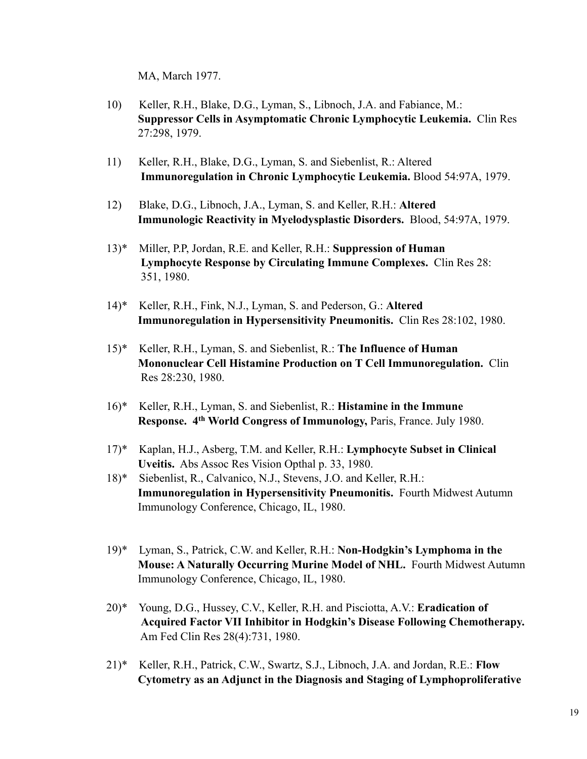MA, March 1977.

- 10) Keller, R.H., Blake, D.G., Lyman, S., Libnoch, J.A. and Fabiance, M.: **Suppressor Cells in Asymptomatic Chronic Lymphocytic Leukemia.** Clin Res 27:298, 1979.
- 11) Keller, R.H., Blake, D.G., Lyman, S. and Siebenlist, R.: Altered **Immunoregulation in Chronic Lymphocytic Leukemia.** Blood 54:97A, 1979.
- 12) Blake, D.G., Libnoch, J.A., Lyman, S. and Keller, R.H.: **Altered Immunologic Reactivity in Myelodysplastic Disorders.** Blood, 54:97A, 1979.
- 13)\* Miller, P.P, Jordan, R.E. and Keller, R.H.: **Suppression of Human Lymphocyte Response by Circulating Immune Complexes.** Clin Res 28: 351, 1980.
- 14)\* Keller, R.H., Fink, N.J., Lyman, S. and Pederson, G.: **Altered Immunoregulation in Hypersensitivity Pneumonitis.** Clin Res 28:102, 1980.
- 15)\* Keller, R.H., Lyman, S. and Siebenlist, R.: **The Influence of Human Mononuclear Cell Histamine Production on T Cell Immunoregulation.** Clin Res 28:230, 1980.
- 16)\* Keller, R.H., Lyman, S. and Siebenlist, R.: **Histamine in the Immune Response. 4th World Congress of Immunology,** Paris, France. July 1980.
- 17)\* Kaplan, H.J., Asberg, T.M. and Keller, R.H.: **Lymphocyte Subset in Clinical Uveitis.** Abs Assoc Res Vision Opthal p. 33, 1980.
- 18)\* Siebenlist, R., Calvanico, N.J., Stevens, J.O. and Keller, R.H.: **Immunoregulation in Hypersensitivity Pneumonitis.** Fourth Midwest Autumn Immunology Conference, Chicago, IL, 1980.
- 19)\* Lyman, S., Patrick, C.W. and Keller, R.H.: **Non-Hodgkin's Lymphoma in the Mouse: A Naturally Occurring Murine Model of NHL.** Fourth Midwest Autumn Immunology Conference, Chicago, IL, 1980.
- 20)\* Young, D.G., Hussey, C.V., Keller, R.H. and Pisciotta, A.V.: **Eradication of Acquired Factor VII Inhibitor in Hodgkin's Disease Following Chemotherapy.** Am Fed Clin Res 28(4):731, 1980.
- 21)\* Keller, R.H., Patrick, C.W., Swartz, S.J., Libnoch, J.A. and Jordan, R.E.: **Flow Cytometry as an Adjunct in the Diagnosis and Staging of Lymphoproliferative**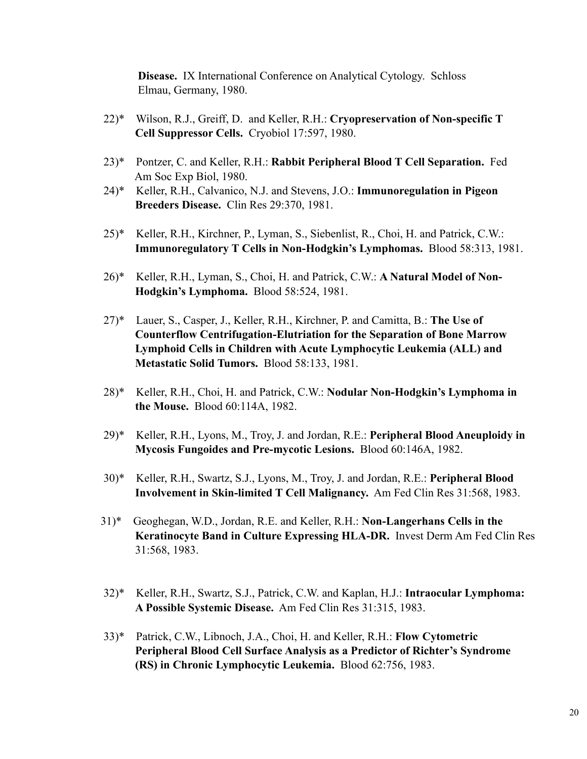**Disease.** IX International Conference on Analytical Cytology. Schloss Elmau, Germany, 1980.

- 22)\* Wilson, R.J., Greiff, D. and Keller, R.H.: **Cryopreservation of Non-specific T Cell Suppressor Cells.** Cryobiol 17:597, 1980.
- 23)\* Pontzer, C. and Keller, R.H.: **Rabbit Peripheral Blood T Cell Separation.** Fed Am Soc Exp Biol, 1980.
- 24)\* Keller, R.H., Calvanico, N.J. and Stevens, J.O.: **Immunoregulation in Pigeon Breeders Disease.** Clin Res 29:370, 1981.
- 25)\* Keller, R.H., Kirchner, P., Lyman, S., Siebenlist, R., Choi, H. and Patrick, C.W.: **Immunoregulatory T Cells in Non-Hodgkin's Lymphomas.** Blood 58:313, 1981.
- 26)\* Keller, R.H., Lyman, S., Choi, H. and Patrick, C.W.: **A Natural Model of Non- Hodgkin's Lymphoma.** Blood 58:524, 1981.
- 27)\* Lauer, S., Casper, J., Keller, R.H., Kirchner, P. and Camitta, B.: **The Use of Counterflow Centrifugation-Elutriation for the Separation of Bone Marrow Lymphoid Cells in Children with Acute Lymphocytic Leukemia (ALL) and Metastatic Solid Tumors.** Blood 58:133, 1981.
- 28)\* Keller, R.H., Choi, H. and Patrick, C.W.: **Nodular Non-Hodgkin's Lymphoma in the Mouse.** Blood 60:114A, 1982.
- 29)\* Keller, R.H., Lyons, M., Troy, J. and Jordan, R.E.: **Peripheral Blood Aneuploidy in Mycosis Fungoides and Pre-mycotic Lesions.** Blood 60:146A, 1982.
- 30)\* Keller, R.H., Swartz, S.J., Lyons, M., Troy, J. and Jordan, R.E.: **Peripheral Blood Involvement in Skin-limited T Cell Malignancy.** Am Fed Clin Res 31:568, 1983.
- 31)\* Geoghegan, W.D., Jordan, R.E. and Keller, R.H.: **Non-Langerhans Cells in the Keratinocyte Band in Culture Expressing HLA-DR.** Invest Derm Am Fed Clin Res 31:568, 1983.
- 32)\* Keller, R.H., Swartz, S.J., Patrick, C.W. and Kaplan, H.J.: **Intraocular Lymphoma: A Possible Systemic Disease.** Am Fed Clin Res 31:315, 1983.
- 33)\* Patrick, C.W., Libnoch, J.A., Choi, H. and Keller, R.H.: **Flow Cytometric Peripheral Blood Cell Surface Analysis as a Predictor of Richter's Syndrome (RS) in Chronic Lymphocytic Leukemia.** Blood 62:756, 1983.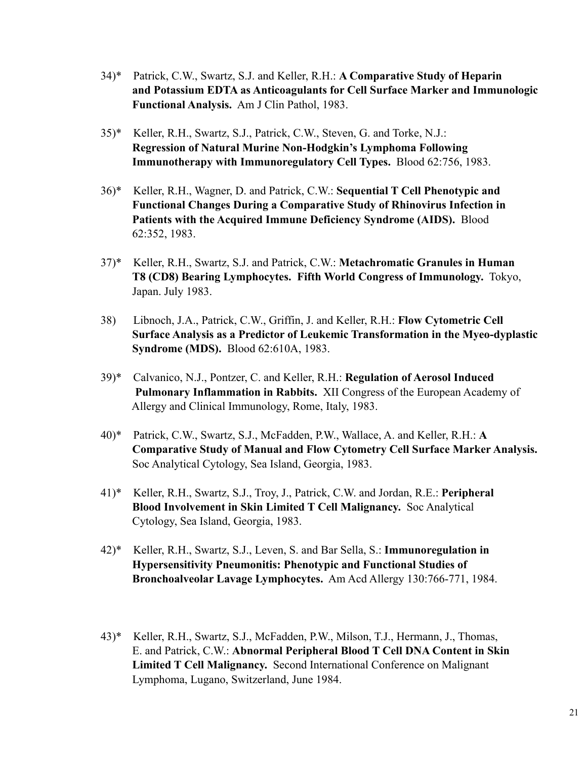- 34)\* Patrick, C.W., Swartz, S.J. and Keller, R.H.: **A Comparative Study of Heparin and Potassium EDTA as Anticoagulants for Cell Surface Marker and Immunologic Functional Analysis.** Am J Clin Pathol, 1983.
- 35)\* Keller, R.H., Swartz, S.J., Patrick, C.W., Steven, G. and Torke, N.J.: **Regression of Natural Murine Non-Hodgkin's Lymphoma Following Immunotherapy with Immunoregulatory Cell Types.** Blood 62:756, 1983.
- 36)\* Keller, R.H., Wagner, D. and Patrick, C.W.: **Sequential T Cell Phenotypic and Functional Changes During a Comparative Study of Rhinovirus Infection in Patients with the Acquired Immune Deficiency Syndrome (AIDS).** Blood 62:352, 1983.
- 37)\* Keller, R.H., Swartz, S.J. and Patrick, C.W.: **Metachromatic Granules in Human T8 (CD8) Bearing Lymphocytes. Fifth World Congress of Immunology.** Tokyo, Japan. July 1983.
- 38) Libnoch, J.A., Patrick, C.W., Griffin, J. and Keller, R.H.: **Flow Cytometric Cell Surface Analysis as a Predictor of Leukemic Transformation in the Myeo-dyplastic Syndrome (MDS).** Blood 62:610A, 1983.
- 39)\* Calvanico, N.J., Pontzer, C. and Keller, R.H.: **Regulation of Aerosol Induced Pulmonary Inflammation in Rabbits.** XII Congress of the European Academy of Allergy and Clinical Immunology, Rome, Italy, 1983.
- 40)\* Patrick, C.W., Swartz, S.J., McFadden, P.W., Wallace, A. and Keller, R.H.: **A Comparative Study of Manual and Flow Cytometry Cell Surface Marker Analysis.** Soc Analytical Cytology, Sea Island, Georgia, 1983.
- 41)\* Keller, R.H., Swartz, S.J., Troy, J., Patrick, C.W. and Jordan, R.E.: **Peripheral Blood Involvement in Skin Limited T Cell Malignancy.** Soc Analytical Cytology, Sea Island, Georgia, 1983.
- 42)\* Keller, R.H., Swartz, S.J., Leven, S. and Bar Sella, S.: **Immunoregulation in Hypersensitivity Pneumonitis: Phenotypic and Functional Studies of Bronchoalveolar Lavage Lymphocytes.** Am Acd Allergy 130:766-771, 1984.
- 43)\* Keller, R.H., Swartz, S.J., McFadden, P.W., Milson, T.J., Hermann, J., Thomas, E. and Patrick, C.W.: **Abnormal Peripheral Blood T Cell DNA Content in Skin Limited T Cell Malignancy.** Second International Conference on Malignant Lymphoma, Lugano, Switzerland, June 1984.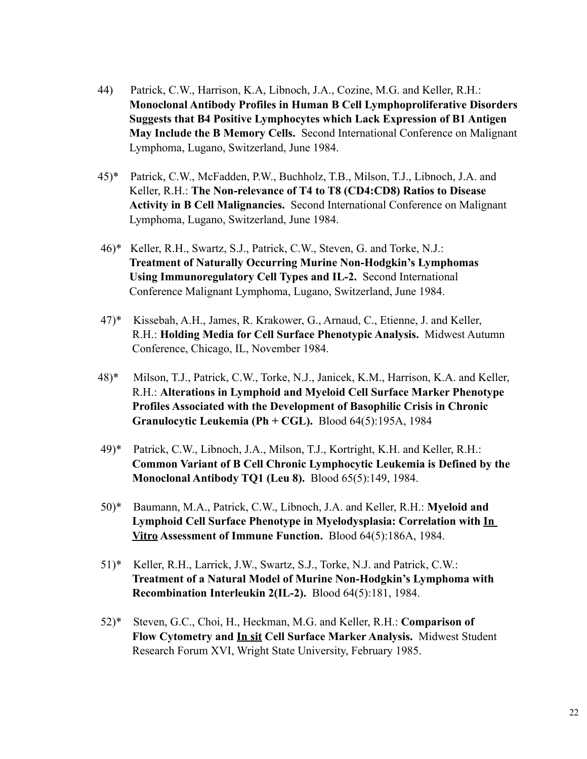- 44) Patrick, C.W., Harrison, K.A, Libnoch, J.A., Cozine, M.G. and Keller, R.H.: **Monoclonal Antibody Profiles in Human B Cell Lymphoproliferative Disorders Suggests that B4 Positive Lymphocytes which Lack Expression of B1 Antigen May Include the B Memory Cells.** Second International Conference on Malignant Lymphoma, Lugano, Switzerland, June 1984.
- 45)\* Patrick, C.W., McFadden, P.W., Buchholz, T.B., Milson, T.J., Libnoch, J.A. and Keller, R.H.: **The Non-relevance of T4 to T8 (CD4:CD8) Ratios to Disease Activity in B Cell Malignancies.** Second International Conference on Malignant Lymphoma, Lugano, Switzerland, June 1984.
- 46)\* Keller, R.H., Swartz, S.J., Patrick, C.W., Steven, G. and Torke, N.J.: **Treatment of Naturally Occurring Murine Non-Hodgkin's Lymphomas Using Immunoregulatory Cell Types and IL-2.** Second International Conference Malignant Lymphoma, Lugano, Switzerland, June 1984.
- 47)\* Kissebah, A.H., James, R. Krakower, G., Arnaud, C., Etienne, J. and Keller, R.H.: **Holding Media for Cell Surface Phenotypic Analysis.** Midwest Autumn Conference, Chicago, IL, November 1984.
- 48)\* Milson, T.J., Patrick, C.W., Torke, N.J., Janicek, K.M., Harrison, K.A. and Keller, R.H.: **Alterations in Lymphoid and Myeloid Cell Surface Marker Phenotype Profiles Associated with the Development of Basophilic Crisis in Chronic Granulocytic Leukemia (Ph + CGL).** Blood 64(5):195A, 1984
- 49)\* Patrick, C.W., Libnoch, J.A., Milson, T.J., Kortright, K.H. and Keller, R.H.: **Common Variant of B Cell Chronic Lymphocytic Leukemia is Defined by the Monoclonal Antibody TQ1 (Leu 8).** Blood 65(5):149, 1984.
- 50)\* Baumann, M.A., Patrick, C.W., Libnoch, J.A. and Keller, R.H.: **Myeloid and Lymphoid Cell Surface Phenotype in Myelodysplasia: Correlation with In Vitro Assessment of Immune Function.** Blood 64(5):186A, 1984.
- 51)\* Keller, R.H., Larrick, J.W., Swartz, S.J., Torke, N.J. and Patrick, C.W.: **Treatment of a Natural Model of Murine Non-Hodgkin's Lymphoma with Recombination Interleukin 2(IL-2).** Blood 64(5):181, 1984.
- 52)\* Steven, G.C., Choi, H., Heckman, M.G. and Keller, R.H.: **Comparison of Flow Cytometry and In sit Cell Surface Marker Analysis.** Midwest Student Research Forum XVI, Wright State University, February 1985.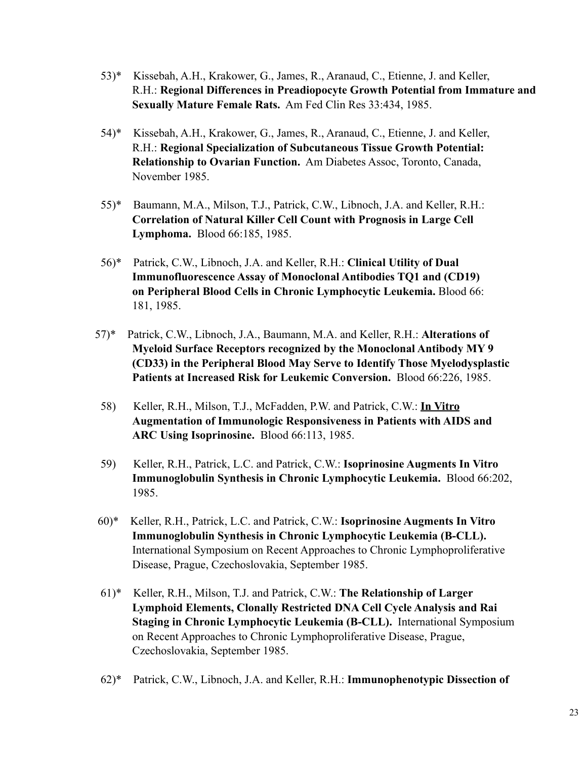- 53)\* Kissebah, A.H., Krakower, G., James, R., Aranaud, C., Etienne, J. and Keller, R.H.: **Regional Differences in Preadiopocyte Growth Potential from Immature and Sexually Mature Female Rats.** Am Fed Clin Res 33:434, 1985.
- 54)\* Kissebah, A.H., Krakower, G., James, R., Aranaud, C., Etienne, J. and Keller, R.H.: **Regional Specialization of Subcutaneous Tissue Growth Potential: Relationship to Ovarian Function.** Am Diabetes Assoc, Toronto, Canada, November 1985.
- 55)\* Baumann, M.A., Milson, T.J., Patrick, C.W., Libnoch, J.A. and Keller, R.H.: **Correlation of Natural Killer Cell Count with Prognosis in Large Cell Lymphoma.** Blood 66:185, 1985.
- 56)\* Patrick, C.W., Libnoch, J.A. and Keller, R.H.: **Clinical Utility of Dual Immunofluorescence Assay of Monoclonal Antibodies TQ1 and (CD19) on Peripheral Blood Cells in Chronic Lymphocytic Leukemia.** Blood 66: 181, 1985.
- 57)\* Patrick, C.W., Libnoch, J.A., Baumann, M.A. and Keller, R.H.: **Alterations of Myeloid Surface Receptors recognized by the Monoclonal Antibody MY 9 (CD33) in the Peripheral Blood May Serve to Identify Those Myelodysplastic Patients at Increased Risk for Leukemic Conversion.** Blood 66:226, 1985.
- 58) Keller, R.H., Milson, T.J., McFadden, P.W. and Patrick, C.W.: **In Vitro Augmentation of Immunologic Responsiveness in Patients with AIDS and ARC Using Isoprinosine.** Blood 66:113, 1985.
- 59) Keller, R.H., Patrick, L.C. and Patrick, C.W.: **Isoprinosine Augments In Vitro Immunoglobulin Synthesis in Chronic Lymphocytic Leukemia.** Blood 66:202, 1985.
- 60)\* Keller, R.H., Patrick, L.C. and Patrick, C.W.: **Isoprinosine Augments In Vitro Immunoglobulin Synthesis in Chronic Lymphocytic Leukemia (B-CLL).**  International Symposium on Recent Approaches to Chronic Lymphoproliferative Disease, Prague, Czechoslovakia, September 1985.
- 61)\* Keller, R.H., Milson, T.J. and Patrick, C.W.: **The Relationship of Larger Lymphoid Elements, Clonally Restricted DNA Cell Cycle Analysis and Rai Staging in Chronic Lymphocytic Leukemia (B-CLL).** International Symposium on Recent Approaches to Chronic Lymphoproliferative Disease, Prague, Czechoslovakia, September 1985.
- 62)\* Patrick, C.W., Libnoch, J.A. and Keller, R.H.: **Immunophenotypic Dissection of**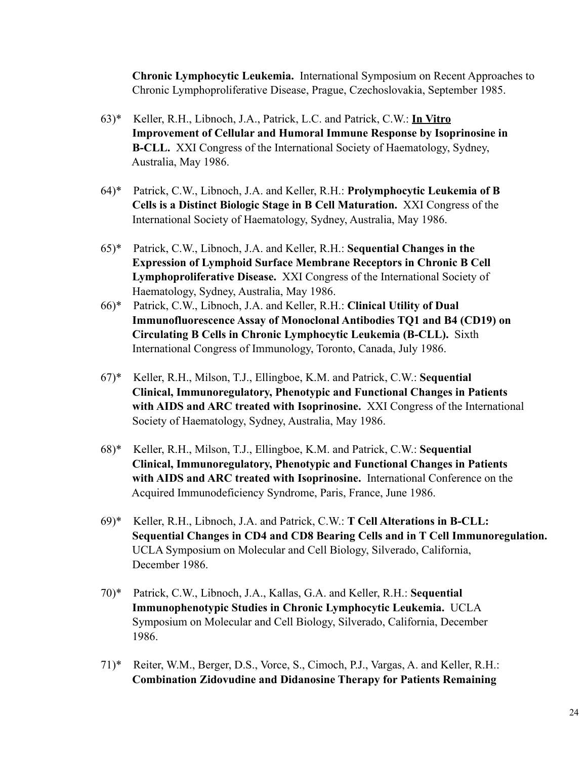**Chronic Lymphocytic Leukemia.** International Symposium on Recent Approaches to Chronic Lymphoproliferative Disease, Prague, Czechoslovakia, September 1985.

- 63)\* Keller, R.H., Libnoch, J.A., Patrick, L.C. and Patrick, C.W.: **In Vitro Improvement of Cellular and Humoral Immune Response by Isoprinosine in B-CLL.** XXI Congress of the International Society of Haematology, Sydney, Australia, May 1986.
- 64)\* Patrick, C.W., Libnoch, J.A. and Keller, R.H.: **Prolymphocytic Leukemia of B Cells is a Distinct Biologic Stage in B Cell Maturation.** XXI Congress of the International Society of Haematology, Sydney, Australia, May 1986.
- 65)\* Patrick, C.W., Libnoch, J.A. and Keller, R.H.: **Sequential Changes in the Expression of Lymphoid Surface Membrane Receptors in Chronic B Cell Lymphoproliferative Disease.** XXI Congress of the International Society of Haematology, Sydney, Australia, May 1986.
- 66)\* Patrick, C.W., Libnoch, J.A. and Keller, R.H.: **Clinical Utility of Dual Immunofluorescence Assay of Monoclonal Antibodies TQ1 and B4 (CD19) on Circulating B Cells in Chronic Lymphocytic Leukemia (B-CLL).** Sixth International Congress of Immunology, Toronto, Canada, July 1986.
- 67)\* Keller, R.H., Milson, T.J., Ellingboe, K.M. and Patrick, C.W.: **Sequential Clinical, Immunoregulatory, Phenotypic and Functional Changes in Patients with AIDS and ARC treated with Isoprinosine.** XXI Congress of the International Society of Haematology, Sydney, Australia, May 1986.
- 68)\* Keller, R.H., Milson, T.J., Ellingboe, K.M. and Patrick, C.W.: **Sequential Clinical, Immunoregulatory, Phenotypic and Functional Changes in Patients with AIDS and ARC treated with Isoprinosine.** International Conference on the Acquired Immunodeficiency Syndrome, Paris, France, June 1986.
- 69)\* Keller, R.H., Libnoch, J.A. and Patrick, C.W.: **T Cell Alterations in B-CLL: Sequential Changes in CD4 and CD8 Bearing Cells and in T Cell Immunoregulation.** UCLA Symposium on Molecular and Cell Biology, Silverado, California, December 1986.
- 70)\* Patrick, C.W., Libnoch, J.A., Kallas, G.A. and Keller, R.H.: **Sequential Immunophenotypic Studies in Chronic Lymphocytic Leukemia.** UCLA Symposium on Molecular and Cell Biology, Silverado, California, December 1986.
- 71)\* Reiter, W.M., Berger, D.S., Vorce, S., Cimoch, P.J., Vargas, A. and Keller, R.H.: **Combination Zidovudine and Didanosine Therapy for Patients Remaining**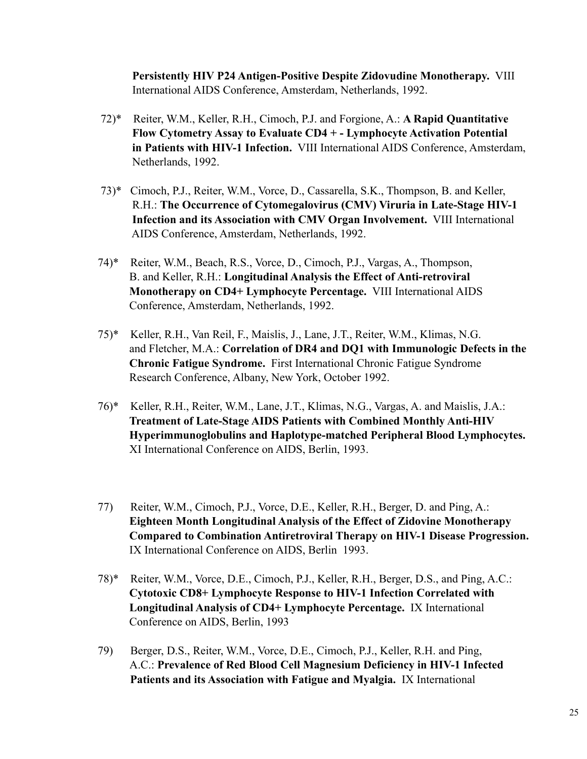**Persistently HIV P24 Antigen-Positive Despite Zidovudine Monotherapy.** VIII International AIDS Conference, Amsterdam, Netherlands, 1992.

- 72)\* Reiter, W.M., Keller, R.H., Cimoch, P.J. and Forgione, A.: **A Rapid Quantitative Flow Cytometry Assay to Evaluate CD4 + - Lymphocyte Activation Potential in Patients with HIV-1 Infection.** VIII International AIDS Conference, Amsterdam, Netherlands, 1992.
- 73)\* Cimoch, P.J., Reiter, W.M., Vorce, D., Cassarella, S.K., Thompson, B. and Keller, R.H.: **The Occurrence of Cytomegalovirus (CMV) Viruria in Late-Stage HIV-1 Infection and its Association with CMV Organ Involvement.** VIII International AIDS Conference, Amsterdam, Netherlands, 1992.
- 74)\* Reiter, W.M., Beach, R.S., Vorce, D., Cimoch, P.J., Vargas, A., Thompson, B. and Keller, R.H.: **Longitudinal Analysis the Effect of Anti-retroviral Monotherapy on CD4+ Lymphocyte Percentage.** VIII International AIDS Conference, Amsterdam, Netherlands, 1992.
- 75)\* Keller, R.H., Van Reil, F., Maislis, J., Lane, J.T., Reiter, W.M., Klimas, N.G. and Fletcher, M.A.: **Correlation of DR4 and DQ1 with Immunologic Defects in the Chronic Fatigue Syndrome.** First International Chronic Fatigue Syndrome Research Conference, Albany, New York, October 1992.
- 76)\* Keller, R.H., Reiter, W.M., Lane, J.T., Klimas, N.G., Vargas, A. and Maislis, J.A.: **Treatment of Late-Stage AIDS Patients with Combined Monthly Anti-HIV Hyperimmunoglobulins and Haplotype-matched Peripheral Blood Lymphocytes.** XI International Conference on AIDS, Berlin, 1993.
- 77) Reiter, W.M., Cimoch, P.J., Vorce, D.E., Keller, R.H., Berger, D. and Ping, A.: **Eighteen Month Longitudinal Analysis of the Effect of Zidovine Monotherapy Compared to Combination Antiretroviral Therapy on HIV-1 Disease Progression.** IX International Conference on AIDS, Berlin 1993.
- 78)\* Reiter, W.M., Vorce, D.E., Cimoch, P.J., Keller, R.H., Berger, D.S., and Ping, A.C.: **Cytotoxic CD8+ Lymphocyte Response to HIV-1 Infection Correlated with Longitudinal Analysis of CD4+ Lymphocyte Percentage.** IX International Conference on AIDS, Berlin, 1993
- 79) Berger, D.S., Reiter, W.M., Vorce, D.E., Cimoch, P.J., Keller, R.H. and Ping, A.C.: **Prevalence of Red Blood Cell Magnesium Deficiency in HIV-1 Infected Patients and its Association with Fatigue and Myalgia.** IX International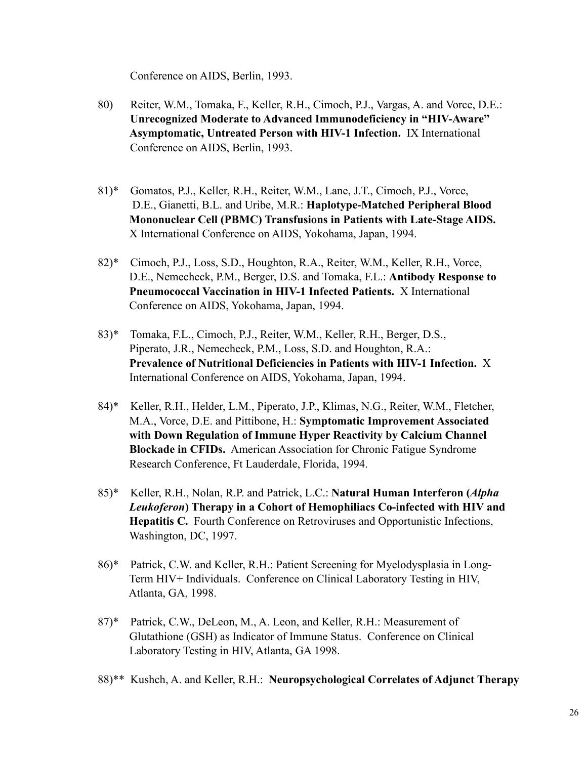Conference on AIDS, Berlin, 1993.

- 80) Reiter, W.M., Tomaka, F., Keller, R.H., Cimoch, P.J., Vargas, A. and Vorce, D.E.:  **Unrecognized Moderate to Advanced Immunodeficiency in "HIV-Aware" Asymptomatic, Untreated Person with HIV-1 Infection.** IX International Conference on AIDS, Berlin, 1993.
- 81)\* Gomatos, P.J., Keller, R.H., Reiter, W.M., Lane, J.T., Cimoch, P.J., Vorce, D.E., Gianetti, B.L. and Uribe, M.R.: **Haplotype-Matched Peripheral Blood Mononuclear Cell (PBMC) Transfusions in Patients with Late-Stage AIDS.** X International Conference on AIDS, Yokohama, Japan, 1994.
- 82)\* Cimoch, P.J., Loss, S.D., Houghton, R.A., Reiter, W.M., Keller, R.H., Vorce, D.E., Nemecheck, P.M., Berger, D.S. and Tomaka, F.L.: **Antibody Response to Pneumococcal Vaccination in HIV-1 Infected Patients.** X International Conference on AIDS, Yokohama, Japan, 1994.
- 83)\* Tomaka, F.L., Cimoch, P.J., Reiter, W.M., Keller, R.H., Berger, D.S., Piperato, J.R., Nemecheck, P.M., Loss, S.D. and Houghton, R.A.: **Prevalence of Nutritional Deficiencies in Patients with HIV-1 Infection.** X International Conference on AIDS, Yokohama, Japan, 1994.
- 84)\* Keller, R.H., Helder, L.M., Piperato, J.P., Klimas, N.G., Reiter, W.M., Fletcher, M.A., Vorce, D.E. and Pittibone, H.: **Symptomatic Improvement Associated with Down Regulation of Immune Hyper Reactivity by Calcium Channel Blockade in CFIDs.** American Association for Chronic Fatigue Syndrome Research Conference, Ft Lauderdale, Florida, 1994.
- 85)\* Keller, R.H., Nolan, R.P. and Patrick, L.C.: **Natural Human Interferon (***Alpha Leukoferon***) Therapy in a Cohort of Hemophiliacs Co-infected with HIV and Hepatitis C.** Fourth Conference on Retroviruses and Opportunistic Infections, Washington, DC, 1997.
- 86)\* Patrick, C.W. and Keller, R.H.: Patient Screening for Myelodysplasia in Long- Term HIV+ Individuals. Conference on Clinical Laboratory Testing in HIV, Atlanta, GA, 1998.
- 87)\* Patrick, C.W., DeLeon, M., A. Leon, and Keller, R.H.: Measurement of Glutathione (GSH) as Indicator of Immune Status. Conference on Clinical Laboratory Testing in HIV, Atlanta, GA 1998.
- 88)\*\* Kushch, A. and Keller, R.H.: **Neuropsychological Correlates of Adjunct Therapy**